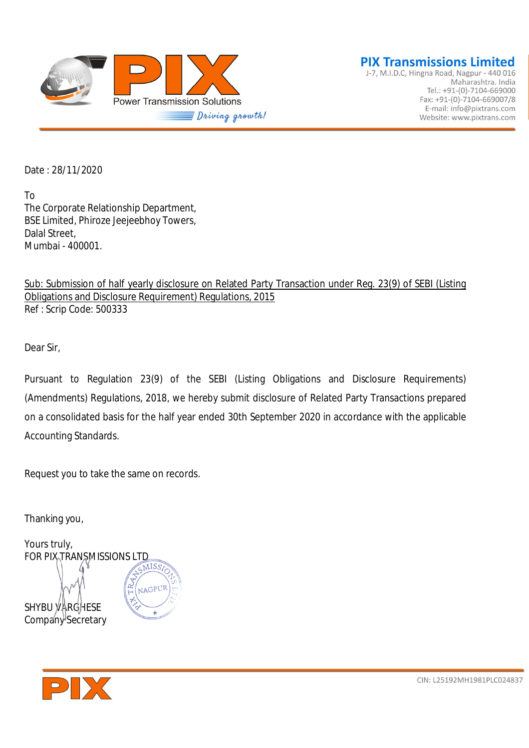

J-7, M.I.D.C, Hingna Road, Nagpur - 440 016 Maharashtra. India Tel.: +91-(0)-7104-669000 Fax: +91-(0)-7104-669007/8 E-mail: info@pixtrans.com Website: www.pixtrans.com

Date : 28/11/2020

To The Corporate Relationship Department, BSE Limited, Phiroze Jeejeebhoy Towers, Dalal Street, Mumbai - 400001.

Sub: Submission of half yearly disclosure on Related Party Transaction under Reg. 23(9) of SEBI (Listing Obligations and Disclosure Requirement) Regulations, 2015 Ref : Scrip Code: 500333

Dear Sir,

Pursuant to Regulation 23(9) of the SEBI (Listing Obligations and Disclosure Requirements) (Amendments) Regulations, 2018, we hereby submit disclosure of Related Party Transactions prepared on a consolidated basis for the half year ended 30th September 2020 in accordance with the applicable Accounting Standards.

Request you to take the same on records.

Thanking you,

Yours truly, FOR PIX TRANSMISSIONS LTD NAGPUR SHYBU VARGHESE Company Secretary

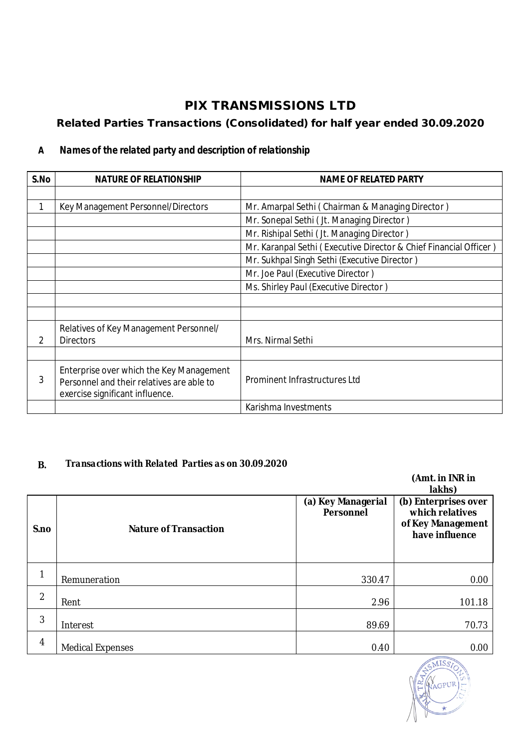# **PIX TRANSMISSIONS LTD**

# **Related Parties Transactions (Consolidated) for half year ended 30.09.2020**

#### **A** *Names of the related party and description of relationship*

| S.No | <b>NATURE OF RELATIONSHIP</b>                                                | <b>NAME OF RELATED PARTY</b>                                      |  |
|------|------------------------------------------------------------------------------|-------------------------------------------------------------------|--|
|      |                                                                              |                                                                   |  |
|      | Key Management Personnel/Directors                                           | Mr. Amarpal Sethi (Chairman & Managing Director)                  |  |
|      |                                                                              | Mr. Sonepal Sethi (Jt. Managing Director)                         |  |
|      |                                                                              | Mr. Rishipal Sethi (Jt. Managing Director)                        |  |
|      |                                                                              | Mr. Karanpal Sethi (Executive Director & Chief Financial Officer) |  |
|      |                                                                              | Mr. Sukhpal Singh Sethi (Executive Director)                      |  |
|      |                                                                              | Mr. Joe Paul (Executive Director)                                 |  |
|      |                                                                              | Ms. Shirley Paul (Executive Director)                             |  |
|      |                                                                              |                                                                   |  |
|      |                                                                              |                                                                   |  |
|      | Relatives of Key Management Personnel/                                       |                                                                   |  |
| 2    | <b>Directors</b>                                                             | Mrs. Nirmal Sethi                                                 |  |
|      |                                                                              |                                                                   |  |
| 3    | Enterprise over which the Key Management                                     | Prominent Infrastructures Ltd                                     |  |
|      | Personnel and their relatives are able to<br>exercise significant influence. |                                                                   |  |
|      |                                                                              | Karishma Investments                                              |  |

### **B.** *Transactions with Related Parties as on 30.09.2020*

|                |                              |                                        | (Amt. in INR in<br>lakhs)                                                      |
|----------------|------------------------------|----------------------------------------|--------------------------------------------------------------------------------|
| S.no           | <b>Nature of Transaction</b> | (a) Key Managerial<br><b>Personnel</b> | (b) Enterprises over<br>which relatives<br>of Key Management<br>have influence |
| 1              | Remuneration                 | 330.47                                 | 0.00                                                                           |
| $\overline{2}$ | Rent                         | 2.96                                   | 101.18                                                                         |
| 3              | Interest                     | 89.69                                  | 70.73                                                                          |
| 4              | <b>Medical Expenses</b>      | 0.40                                   | 0.00                                                                           |